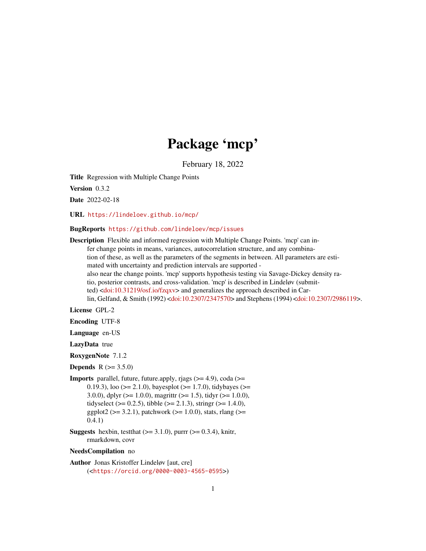# Package 'mcp'

February 18, 2022

<span id="page-0-0"></span>Title Regression with Multiple Change Points

Version 0.3.2

Date 2022-02-18

URL <https://lindeloev.github.io/mcp/>

BugReports <https://github.com/lindeloev/mcp/issues>

Description Flexible and informed regression with Multiple Change Points. 'mcp' can infer change points in means, variances, autocorrelation structure, and any combination of these, as well as the parameters of the segments in between. All parameters are estimated with uncertainty and prediction intervals are supported also near the change points. 'mcp' supports hypothesis testing via Savage-Dickey density ratio, posterior contrasts, and cross-validation. 'mcp' is described in Lindeløv (submitted) [<doi:10.31219/osf.io/fzqxv>](https://doi.org/10.31219/osf.io/fzqxv) and generalizes the approach described in Carlin, Gelfand, & Smith (1992) [<doi:10.2307/2347570>](https://doi.org/10.2307/2347570) and Stephens (1994) [<doi:10.2307/2986119>](https://doi.org/10.2307/2986119).

License GPL-2

Encoding UTF-8

Language en-US

LazyData true

RoxygenNote 7.1.2

**Depends**  $R (= 3.5.0)$ 

**Imports** parallel, future, future.apply, rjags  $(>= 4.9)$ , coda  $(>= 1.9)$ 0.19.3), loo ( $>= 2.1.0$ ), bayesplot ( $>= 1.7.0$ ), tidybayes ( $>= 0.19.3$ ) 3.0.0), dplyr ( $> = 1.0.0$ ), magrittr ( $> = 1.5$ ), tidyr ( $> = 1.0.0$ ), tidyselect ( $> = 0.2.5$ ), tibble ( $> = 2.1.3$ ), stringr ( $> = 1.4.0$ ), ggplot2 ( $>= 3.2.1$ ), patchwork ( $>= 1.0.0$ ), stats, rlang ( $>=$ 0.4.1)

**Suggests** hexbin, test that  $(>= 3.1.0)$ , purrr  $(>= 0.3.4)$ , knitr, rmarkdown, covr

#### NeedsCompilation no

Author Jonas Kristoffer Lindeløv [aut, cre] (<<https://orcid.org/0000-0003-4565-0595>>)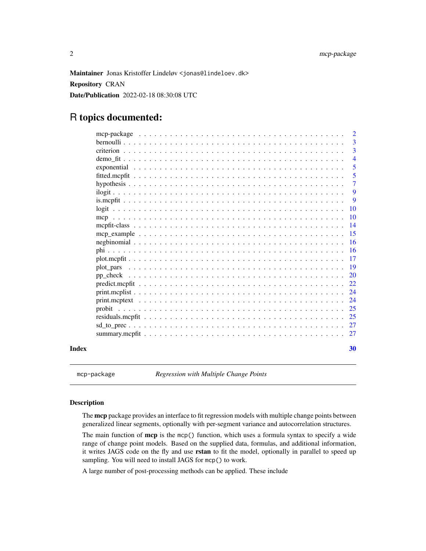<span id="page-1-0"></span>Maintainer Jonas Kristoffer Lindeløv <jonas@lindeloev.dk>

Repository CRAN

Date/Publication 2022-02-18 08:30:08 UTC

# R topics documented:

|       | -3              |
|-------|-----------------|
|       | 3               |
|       | $\overline{4}$  |
|       | 5               |
|       | $\overline{5}$  |
|       | 7               |
|       | 9               |
|       | 9               |
|       | $\overline{10}$ |
|       | <b>10</b>       |
|       | $\overline{14}$ |
|       |                 |
|       |                 |
|       |                 |
|       |                 |
|       |                 |
|       |                 |
|       |                 |
|       |                 |
|       |                 |
|       |                 |
|       |                 |
|       |                 |
|       |                 |
| Index | 30              |

mcp-package *Regression with Multiple Change Points*

# Description

The mcp package provides an interface to fit regression models with multiple change points between generalized linear segments, optionally with per-segment variance and autocorrelation structures.

The main function of  $mcp$  is the mcp() function, which uses a formula syntax to specify a wide range of change point models. Based on the supplied data, formulas, and additional information, it writes JAGS code on the fly and use rstan to fit the model, optionally in parallel to speed up sampling. You will need to install JAGS for mcp() to work.

A large number of post-processing methods can be applied. These include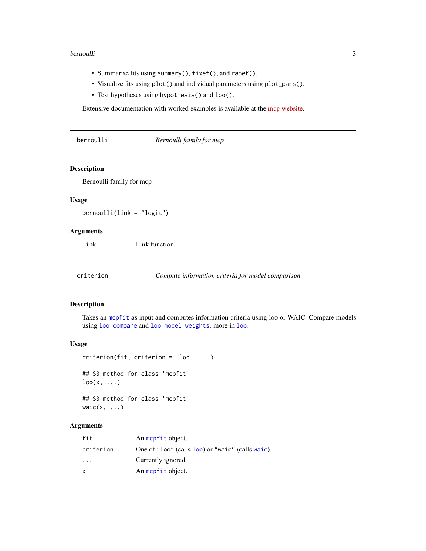#### <span id="page-2-0"></span>bernoulli 3

- Summarise fits using summary(), fixef(), and ranef().
- Visualize fits using plot() and individual parameters using plot\_pars().
- Test hypotheses using hypothesis() and loo().

Extensive documentation with worked examples is available at the [mcp website.](https://lindeloev.github.io/mcp/)

bernoulli *Bernoulli family for mcp*

# Description

Bernoulli family for mcp

#### Usage

bernoulli(link = "logit")

#### Arguments

link Link function.

<span id="page-2-2"></span>criterion *Compute information criteria for model comparison*

#### <span id="page-2-1"></span>Description

Takes an [mcpfit](#page-13-1) as input and computes information criteria using loo or WAIC. Compare models using [loo\\_compare](#page-0-0) and [loo\\_model\\_weights](#page-0-0). more in [loo](#page-2-1).

#### Usage

```
criterion(fit, criterion = "loo", ...)
## S3 method for class 'mcpfit'
\text{loo}(x, \ldots)## S3 method for class 'mcpfit'
```
waic $(x, \ldots)$ 

# Arguments

| fit       | An mopfit object.                                |
|-----------|--------------------------------------------------|
| criterion | One of "loo" (calls loo) or "waic" (calls waic). |
| $\cdots$  | Currently ignored                                |
| x         | An mopfit object.                                |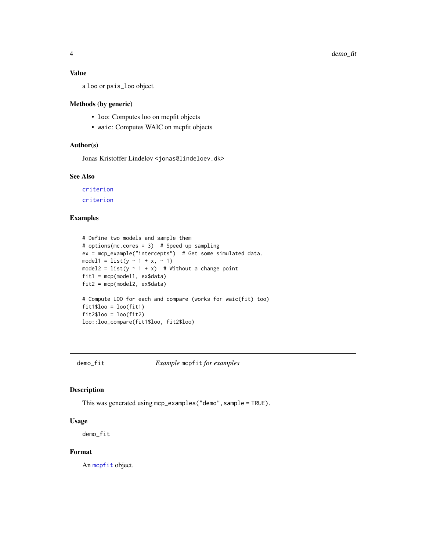#### <span id="page-3-0"></span>Value

a loo or psis\_loo object.

# Methods (by generic)

- loo: Computes loo on mcpfit objects
- waic: Computes WAIC on mcpfit objects

# Author(s)

Jonas Kristoffer Lindeløv <jonas@lindeloev.dk>

# See Also

[criterion](#page-2-2) [criterion](#page-2-2)

# Examples

```
# Define two models and sample them
# options(mc.cores = 3) # Speed up sampling
ex = mcp_example("intercepts") # Get some simulated data.
model1 = list(y \sim 1 + x, \sim 1)
model2 = list(y \sim 1 + x) # Without a change point
fit1 = mcp(model1, ex$data)
fit2 = mcp(model2, ex$data)
# Compute LOO for each and compare (works for waic(fit) too)
fit1$loo = loo(fit1)
fit2$loo = loc(fit2)loo::loo_compare(fit1$loo, fit2$loo)
```
demo\_fit *Example* mcpfit *for examples*

# Description

This was generated using mcp\_examples("demo",sample = TRUE).

#### Usage

demo\_fit

#### Format

An [mcpfit](#page-13-1) object.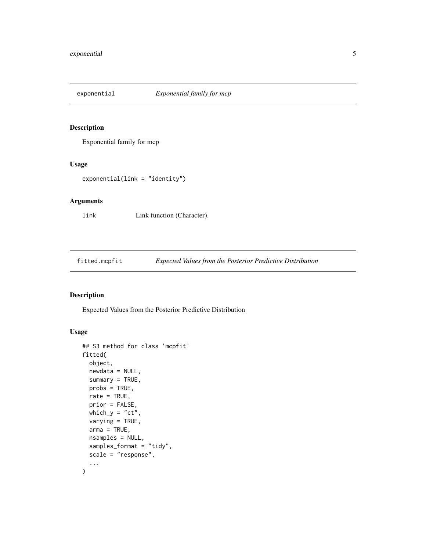<span id="page-4-0"></span>

# Description

Exponential family for mcp

# Usage

```
exponential(link = "identity")
```
# Arguments

link Link function (Character).

<span id="page-4-1"></span>fitted.mcpfit *Expected Values from the Posterior Predictive Distribution*

# Description

Expected Values from the Posterior Predictive Distribution

# Usage

```
## S3 method for class 'mcpfit'
fitted(
  object,
 newdata = NULL,
  summary = TRUE,
 probs = TRUE,rate = TRUE,
 prior = FALSE,
 which_y = "ct",varying = TRUE,
  arma = TRUE,nsamples = NULL,
  samples_format = "tidy",
  scale = "response",
  ...
\mathcal{E}
```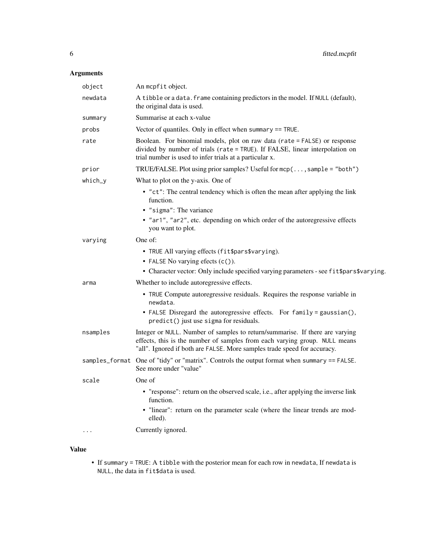# Arguments

| object         | An mcpfit object.                                                                                                                                                                                                                      |
|----------------|----------------------------------------------------------------------------------------------------------------------------------------------------------------------------------------------------------------------------------------|
| newdata        | A tibble or a data. frame containing predictors in the model. If NULL (default),<br>the original data is used.                                                                                                                         |
| summary        | Summarise at each x-value                                                                                                                                                                                                              |
| probs          | Vector of quantiles. Only in effect when summary == TRUE.                                                                                                                                                                              |
| rate           | Boolean. For binomial models, plot on raw data (rate = FALSE) or response<br>divided by number of trials (rate = TRUE). If FALSE, linear interpolation on<br>trial number is used to infer trials at a particular x.                   |
| prior          | TRUE/FALSE. Plot using prior samples? Useful for mcp(, sample = "both")                                                                                                                                                                |
| which_y        | What to plot on the y-axis. One of                                                                                                                                                                                                     |
|                | • "ct": The central tendency which is often the mean after applying the link<br>function.<br>• "sigma": The variance<br>• "ar1", "ar2", etc. depending on which order of the autoregressive effects<br>you want to plot.               |
| varying        | One of:                                                                                                                                                                                                                                |
|                | • TRUE All varying effects (fit\$pars\$varying).<br>• FALSE No varying efects (c()).<br>• Character vector: Only include specified varying parameters - see fit\$pars\$varying.                                                        |
| arma           | Whether to include autoregressive effects.                                                                                                                                                                                             |
|                | • TRUE Compute autoregressive residuals. Requires the response variable in<br>newdata.<br>• FALSE Disregard the autoregressive effects. For family = gaussian(),<br>predict() just use sigma for residuals.                            |
| nsamples       | Integer or NULL. Number of samples to return/summarise. If there are varying<br>effects, this is the number of samples from each varying group. NULL means<br>"all". Ignored if both are FALSE. More samples trade speed for accuracy. |
| samples_format | One of "tidy" or "matrix". Controls the output format when summary == FALSE.<br>See more under "value"                                                                                                                                 |
| scale          | One of                                                                                                                                                                                                                                 |
|                | • "response": return on the observed scale, i.e., after applying the inverse link<br>function.<br>• "linear": return on the parameter scale (where the linear trends are mod-<br>elled).                                               |
| $\ddots$       | Currently ignored.                                                                                                                                                                                                                     |
|                |                                                                                                                                                                                                                                        |

# Value

• If summary = TRUE: A tibble with the posterior mean for each row in newdata, If newdata is NULL, the data in fit\$data is used.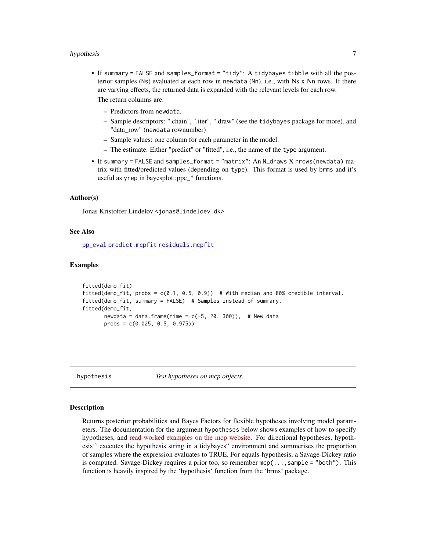#### <span id="page-6-0"></span>hypothesis 7

- If summary = FALSE and samples\_format = "tidy": A tidybayes tibble with all the posterior samples (Ns) evaluated at each row in newdata (Nn), i.e., with Ns x Nn rows. If there are varying effects, the returned data is expanded with the relevant levels for each row. The return columns are:
	- Predictors from newdata.
	- Sample descriptors: ".chain", ".iter", ".draw" (see the tidybayes package for more), and "data\_row" (newdata rownumber)
	- Sample values: one column for each parameter in the model.
	- The estimate. Either "predict" or "fitted", i.e., the name of the type argument.
- If summary = FALSE and samples\_format = "matrix": An N\_draws X nrows(newdata) matrix with fitted/predicted values (depending on type). This format is used by brms and it's useful as yrep in bayesplot::ppc\_\* functions.

#### Author(s)

Jonas Kristoffer Lindeløv <jonas@lindeloev.dk>

#### See Also

[pp\\_eval](#page-0-0) [predict.mcpfit](#page-21-1) [residuals.mcpfit](#page-24-1)

#### Examples

```
fitted(demo_fit)
fitted(demo_fit, probs = c(0.1, 0.5, 0.9)) # With median and 80% credible interval.
fitted(demo_fit, summary = FALSE) # Samples instead of summary.
fitted(demo_fit,
      newdata = data.frame(time = c(-5, 20, 300)), # New data
      probs = c(0.025, 0.5, 0.975))
```
<span id="page-6-1"></span>

hypothesis *Test hypotheses on mcp objects.*

#### Description

Returns posterior probabilities and Bayes Factors for flexible hypotheses involving model parameters. The documentation for the argument hypotheses below shows examples of how to specify hypotheses, and [read worked examples on the mcp website.](https://lindeloev.github.io/mcp/articles/comparison.html) For directional hypotheses, hypothesis`` executes the hypothesis string in a tidybayes" environment and summerises the proportion of samples where the expression evaluates to TRUE. For equals-hypothesis, a Savage-Dickey ratio is computed. Savage-Dickey requires a prior too, so remember  $mcp(...,sample = "both")$ . This function is heavily inspired by the 'hypothesis' function from the 'brms' package.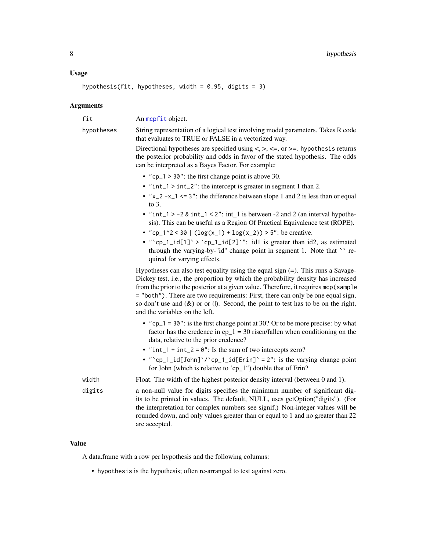#### <span id="page-7-0"></span>Usage

hypothesis(fit, hypotheses, width =  $0.95$ , digits = 3)

#### Arguments

fit An [mcpfit](#page-13-1) object.

hypotheses String representation of a logical test involving model parameters. Takes R code that evaluates to TRUE or FALSE in a vectorized way.

> Directional hypotheses are specified using  $\lt, \gt, \lt =$ , or  $\gt =$ . hypothesis returns the posterior probability and odds in favor of the stated hypothesis. The odds can be interpreted as a Bayes Factor. For example:

- "cp\_1 > 30": the first change point is above 30.
- "int\_1 > int\_2": the intercept is greater in segment 1 than 2.
- " $x_2 x_1 \le 3$ ": the difference between slope 1 and 2 is less than or equal to 3.
- " $int_1$  > -2 &  $int_1$  < 2":  $int_1$  is between -2 and 2 (an interval hypothesis). This can be useful as a Region Of Practical Equivalence test (ROPE).
- "cp\_1^2 < 30 | (log(x\_1) + log(x\_2)) > 5": be creative.
- "`cp\_1\_id[1]` > `cp\_1\_id[2]`": id1 is greater than id2, as estimated through the varying-by-"id" change point in segment 1. Note that `` required for varying effects.

Hypotheses can also test equality using the equal sign (=). This runs a Savage-Dickey test, i.e., the proportion by which the probability density has increased from the prior to the posterior at a given value. Therefore, it requires mcp(sample = "both"). There are two requirements: First, there can only be one equal sign, so don't use and  $(\&)$  or or (1). Second, the point to test has to be on the right, and the variables on the left.

- "cp\_1 =  $30$ ": is the first change point at 30? Or to be more precise: by what factor has the credence in  $cp_1 = 30$  risen/fallen when conditioning on the data, relative to the prior credence?
- " $int_1 + int_2 = 0$ ": Is the sum of two intercepts zero?
- " $cp_1_id[John]'/cp_1_id[Erin]' = 2"$ : is the varying change point for John (which is relative to 'cp\_1") double that of Erin?

```
width Float. The width of the highest posterior density interval (between 0 and 1).
```
digits a non-null value for digits specifies the minimum number of significant digits to be printed in values. The default, NULL, uses getOption("digits"). (For the interpretation for complex numbers see signif.) Non-integer values will be rounded down, and only values greater than or equal to 1 and no greater than 22 are accepted.

# Value

A data.frame with a row per hypothesis and the following columns:

• hypothesis is the hypothesis; often re-arranged to test against zero.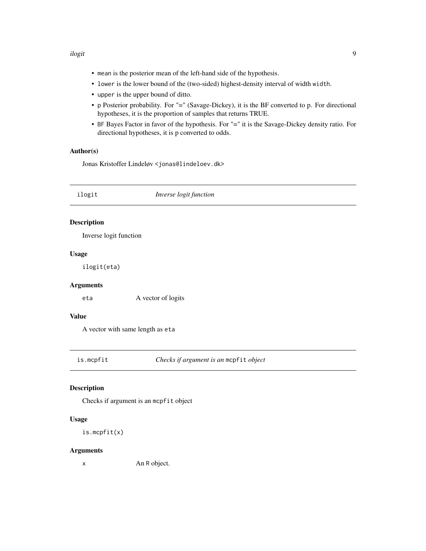#### <span id="page-8-0"></span>ilogit 9

- mean is the posterior mean of the left-hand side of the hypothesis.
- lower is the lower bound of the (two-sided) highest-density interval of width width.
- upper is the upper bound of ditto.
- p Posterior probability. For "=" (Savage-Dickey), it is the BF converted to p. For directional hypotheses, it is the proportion of samples that returns TRUE.
- BF Bayes Factor in favor of the hypothesis. For "=" it is the Savage-Dickey density ratio. For directional hypotheses, it is p converted to odds.

# Author(s)

Jonas Kristoffer Lindeløv <jonas@lindeloev.dk>

ilogit *Inverse logit function* Description Inverse logit function Usage ilogit(eta)

# Arguments

eta A vector of logits

# Value

A vector with same length as eta

is.mcpfit *Checks if argument is an* mcpfit *object*

### Description

Checks if argument is an mcpfit object

#### Usage

is.mcpfit(x)

#### Arguments

x An R object.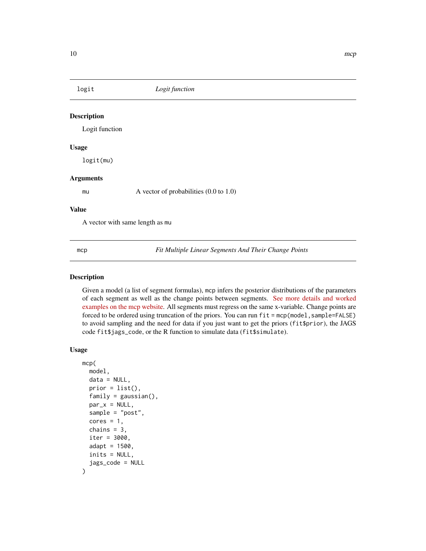<span id="page-9-0"></span>

#### Description

Logit function

#### Usage

logit(mu)

# Arguments

mu A vector of probabilities  $(0.0 \text{ to } 1.0)$ 

#### Value

A vector with same length as mu

<span id="page-9-1"></span>mcp *Fit Multiple Linear Segments And Their Change Points*

#### Description

Given a model (a list of segment formulas), mcp infers the posterior distributions of the parameters of each segment as well as the change points between segments. [See more details and worked](https://lindeloev.github.io/mcp/) [examples on the mcp website.](https://lindeloev.github.io/mcp/) All segments must regress on the same x-variable. Change points are forced to be ordered using truncation of the priors. You can run fit = mcp(model, sample=FALSE) to avoid sampling and the need for data if you just want to get the priors (fit\$prior), the JAGS code fit\$jags\_code, or the R function to simulate data (fit\$simulate).

#### Usage

```
mcp(
 model,
  data = NULL,
 prior = list(),family = gaussian(),
 par_x = NULL,sample = "post",
  cores = 1,
  chains = 3,
  iter = 3000,
  adapt = 1500,inits = NULL,
  jags_code = NULL
\mathcal{E}
```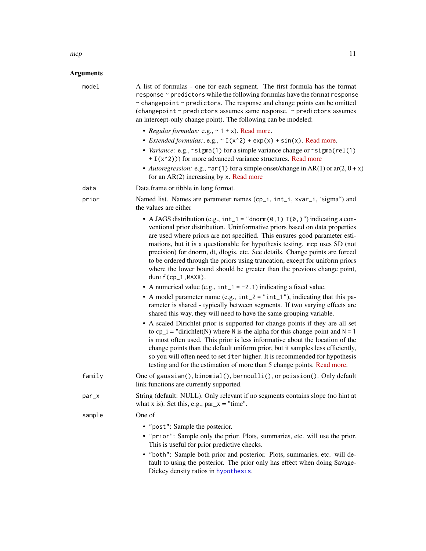# <span id="page-10-0"></span>Arguments

| model  | A list of formulas - one for each segment. The first formula has the format<br>response ~ predictors while the following formulas have the format response<br>~ changepoint ~ predictors. The response and change points can be omitted<br>(changepoint ~ predictors assumes same response. ~ predictors assumes<br>an intercept-only change point). The following can be modeled:                                                                                                                                                                                                                                                                                                                                              |
|--------|---------------------------------------------------------------------------------------------------------------------------------------------------------------------------------------------------------------------------------------------------------------------------------------------------------------------------------------------------------------------------------------------------------------------------------------------------------------------------------------------------------------------------------------------------------------------------------------------------------------------------------------------------------------------------------------------------------------------------------|
|        | • Regular formulas: e.g., $\sim$ 1 + x). Read more.                                                                                                                                                                                                                                                                                                                                                                                                                                                                                                                                                                                                                                                                             |
|        | • <i>Extended formulas:</i> , e.g., $\sim$ I(x^2) + exp(x) + sin(x). Read more.<br>• Variance: e.g., ~sigma(1) for a simple variance change or ~sigma(rel(1)<br>$+ I(x^2))$ for more advanced variance structures. Read more                                                                                                                                                                                                                                                                                                                                                                                                                                                                                                    |
|        | • Autoregression: e.g., ~ar(1) for a simple onset/change in AR(1) or ar(2, $0 + x$ )<br>for an $AR(2)$ increasing by x. Read more                                                                                                                                                                                                                                                                                                                                                                                                                                                                                                                                                                                               |
| data   | Data.frame or tibble in long format.                                                                                                                                                                                                                                                                                                                                                                                                                                                                                                                                                                                                                                                                                            |
| prior  | Named list. Names are parameter names (cp_i, int_i, xvar_i, 'sigma") and<br>the values are either                                                                                                                                                                                                                                                                                                                                                                                                                                                                                                                                                                                                                               |
|        | • A JAGS distribution (e.g., int_1 = "dnorm(0,1) $T(0, 1)$ ") indicating a con-<br>ventional prior distribution. Uninformative priors based on data properties<br>are used where priors are not specified. This ensures good parameter esti-<br>mations, but it is a questionable for hypothesis testing. mcp uses SD (not<br>precision) for dnorm, dt, dlogis, etc. See details. Change points are forced<br>to be ordered through the priors using truncation, except for uniform priors<br>where the lower bound should be greater than the previous change point,<br>dunif(cp_1,MAXX).                                                                                                                                      |
|        | • A numerical value (e.g., $int_1 = -2.1$ ) indicating a fixed value.                                                                                                                                                                                                                                                                                                                                                                                                                                                                                                                                                                                                                                                           |
|        | • A model parameter name (e.g., $int_2 = "int_1",$ indicating that this pa-<br>rameter is shared - typically between segments. If two varying effects are<br>shared this way, they will need to have the same grouping variable.<br>• A scaled Dirichlet prior is supported for change points if they are all set<br>to cp_i = "dirichlet(N) where N is the alpha for this change point and $N = 1$<br>is most often used. This prior is less informative about the location of the<br>change points than the default uniform prior, but it samples less efficiently,<br>so you will often need to set iter higher. It is recommended for hypothesis<br>testing and for the estimation of more than 5 change points. Read more. |
| family | One of gaussian(), binomial(), bernoulli(), or poission(). Only default<br>link functions are currently supported.                                                                                                                                                                                                                                                                                                                                                                                                                                                                                                                                                                                                              |
| par_x  | String (default: NULL). Only relevant if no segments contains slope (no hint at<br>what x is). Set this, e.g., $par_x = "time".$                                                                                                                                                                                                                                                                                                                                                                                                                                                                                                                                                                                                |
| sample | One of                                                                                                                                                                                                                                                                                                                                                                                                                                                                                                                                                                                                                                                                                                                          |
|        | • "post": Sample the posterior.<br>• "prior": Sample only the prior. Plots, summaries, etc. will use the prior.<br>This is useful for prior predictive checks.<br>• "both": Sample both prior and posterior. Plots, summaries, etc. will de-<br>fault to using the posterior. The prior only has effect when doing Savage-<br>Dickey density ratios in hypothesis.                                                                                                                                                                                                                                                                                                                                                              |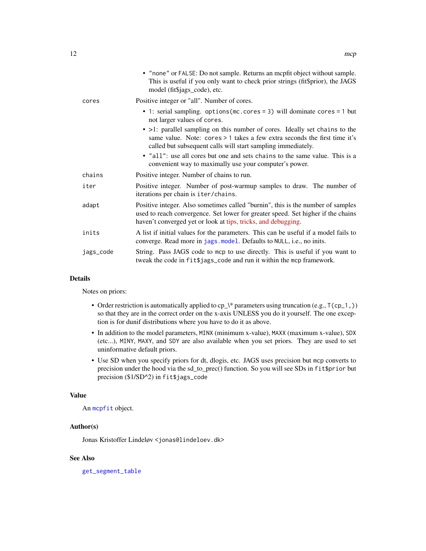<span id="page-11-0"></span>

|           | • "none" or FALSE: Do not sample. Returns an mcpfit object without sample.<br>This is useful if you only want to check prior strings (fit\$prior), the JAGS<br>model (fit\$jags_code), etc.                                          |
|-----------|--------------------------------------------------------------------------------------------------------------------------------------------------------------------------------------------------------------------------------------|
| cores     | Positive integer or "all". Number of cores.                                                                                                                                                                                          |
|           | • 1: serial sampling. options (mc. cores = 3) will dominate cores = 1 but<br>not larger values of cores.                                                                                                                             |
|           | • >1: parallel sampling on this number of cores. Ideally set chains to the<br>same value. Note: cores > 1 takes a few extra seconds the first time it's<br>called but subsequent calls will start sampling immediately.              |
|           | • "all": use all cores but one and sets chains to the same value. This is a<br>convenient way to maximally use your computer's power.                                                                                                |
| chains    | Positive integer. Number of chains to run.                                                                                                                                                                                           |
| iter      | Positive integer. Number of post-warmup samples to draw. The number of<br>iterations per chain is iter/chains.                                                                                                                       |
| adapt     | Positive integer. Also sometimes called "burnin", this is the number of samples<br>used to reach convergence. Set lower for greater speed. Set higher if the chains<br>haven't converged yet or look at tips, tricks, and debugging. |
| inits     | A list if initial values for the parameters. This can be useful if a model fails to<br>converge. Read more in jags. model. Defaults to NULL, i.e., no inits.                                                                         |
| jags_code | String. Pass JAGS code to mcp to use directly. This is useful if you want to<br>tweak the code in fit\$jags_code and run it within the mcp framework.                                                                                |

# Details

Notes on priors:

- Order restriction is automatically applied to cp\_\\* parameters using truncation (e.g.,  $T$ (cp\_1,)) so that they are in the correct order on the x-axis UNLESS you do it yourself. The one exception is for dunif distributions where you have to do it as above.
- In addition to the model parameters, MINX (minimum x-value), MAXX (maximum x-value), SDX (etc...), MINY, MAXY, and SDY are also available when you set priors. They are used to set uninformative default priors.
- Use SD when you specify priors for dt, dlogis, etc. JAGS uses precision but mcp converts to precision under the hood via the sd\_to\_prec() function. So you will see SDs in fit\$prior but precision (\$1/SD^2) in fit\$jags\_code

#### Value

An [mcpfit](#page-13-1) object.

# Author(s)

Jonas Kristoffer Lindeløv <jonas@lindeloev.dk>

# See Also

[get\\_segment\\_table](#page-0-0)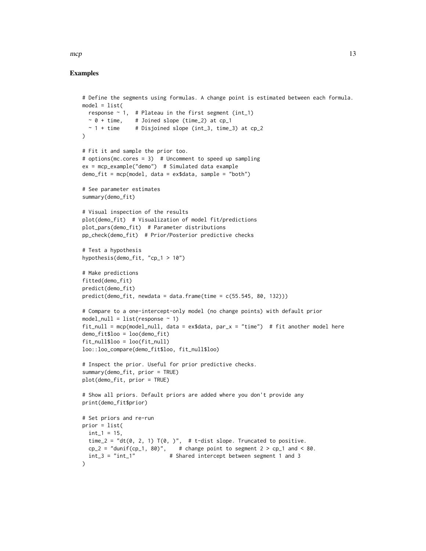#### Examples

```
# Define the segments using formulas. A change point is estimated between each formula.
model = list(response \sim 1, # Plateau in the first segment (int_1)
 \sim 0 + time, # Joined slope (time_2) at cp_1
  \sim 1 + time # Disjoined slope (int_3, time_3) at cp_2
)
# Fit it and sample the prior too.
# options(mc.cores = 3) # Uncomment to speed up sampling
ex = mcp_example("demo") # Simulated data example
demo_fit = mcp(model, data = ex$data, sample = "both")
# See parameter estimates
summary(demo_fit)
# Visual inspection of the results
plot(demo_fit) # Visualization of model fit/predictions
plot_pars(demo_fit) # Parameter distributions
pp_check(demo_fit) # Prior/Posterior predictive checks
# Test a hypothesis
hypothesis(demo_fit, "cp_1 > 10")
# Make predictions
fitted(demo_fit)
predict(demo_fit)
predict(demo_fit, newdata = data.frame(time = c(55.545, 80, 132)))# Compare to a one-intercept-only model (no change points) with default prior
model\_null = list(res్)fit\_null = mcp(model\_null, data = ex$data, par_x = "time") # fit another model heredemo_fit$loo = loo(demo_fit)
fit_null$loo = loo(fit_null)
loo::loo_compare(demo_fit$loo, fit_null$loo)
# Inspect the prior. Useful for prior predictive checks.
summary(demo_fit, prior = TRUE)
plot(demo_fit, prior = TRUE)
# Show all priors. Default priors are added where you don't provide any
print(demo_fit$prior)
# Set priors and re-run
prior = list(
 int_1 = 15,
 time_2 = "dt(0, 2, 1) T(0, y'', + t-dist slope. Truncated to positive.
 cp_2 = "dunif(cp_1, 80)", # change point to segment 2 > cp_1 and < 80.int_3 = "int_1" # Shared intercept between segment 1 and 3
)
```
 $mcp$  13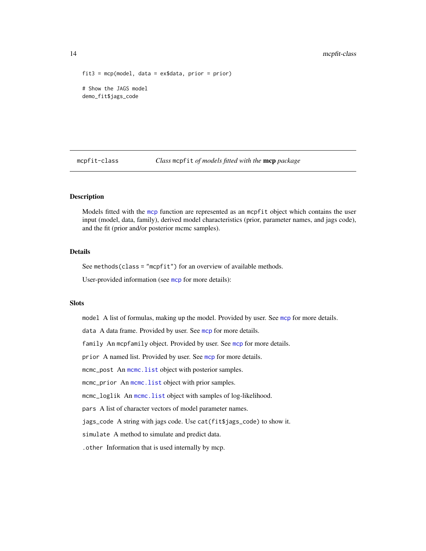```
fits = mcp(model, data = ex$data, prior = prior)# Show the JAGS model
demo_fit$jags_code
```
mcpfit-class *Class* mcpfit *of models fitted with the* mcp *package*

# <span id="page-13-1"></span>**Description**

Models fitted with the [mcp](#page-9-1) function are represented as an mcpfit object which contains the user input (model, data, family), derived model characteristics (prior, parameter names, and jags code), and the fit (prior and/or posterior mcmc samples).

# Details

See methods(class = "mcpfit") for an overview of available methods.

User-provided information (see [mcp](#page-9-1) for more details):

#### Slots

model A list of formulas, making up the model. Provided by user. See [mcp](#page-9-1) for more details.

data A data frame. Provided by user. See [mcp](#page-9-1) for more details.

family An [mcp](#page-9-1)family object. Provided by user. See mcp for more details.

prior A named list. Provided by user. See [mcp](#page-9-1) for more details.

mcmc\_post An [mcmc.list](#page-0-0) object with posterior samples.

mcmc\_prior An [mcmc.list](#page-0-0) object with prior samples.

mcmc\_loglik An [mcmc.list](#page-0-0) object with samples of log-likelihood.

pars A list of character vectors of model parameter names.

jags\_code A string with jags code. Use cat(fit\$jags\_code) to show it.

simulate A method to simulate and predict data.

.other Information that is used internally by mcp.

<span id="page-13-0"></span>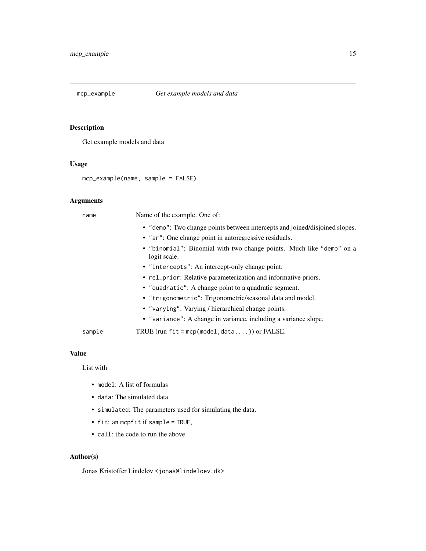<span id="page-14-0"></span>

# Description

Get example models and data

# Usage

```
mcp_example(name, sample = FALSE)
```
# Arguments

| name   | Name of the example. One of:                                                         |
|--------|--------------------------------------------------------------------------------------|
|        | • "demo": Two change points between intercepts and joined/disjoined slopes.          |
|        | • "ar": One change point in autoregressive residuals.                                |
|        | • "binomial": Binomial with two change points. Much like "demo" on a<br>logit scale. |
|        | • "intercepts": An intercept-only change point.                                      |
|        | • rel_prior: Relative parameterization and informative priors.                       |
|        | • "quadratic": A change point to a quadratic segment.                                |
|        | • "trigonometric": Trigonometric/seasonal data and model.                            |
|        | • "varying": Varying / hierarchical change points.                                   |
|        | • "variance": A change in variance, including a variance slope.                      |
| sample | TRUE (run $fit = \text{mcp}(\text{model}, \text{data}, \dots)$ ) or FALSE.           |

# Value

List with

- model: A list of formulas
- data: The simulated data
- simulated: The parameters used for simulating the data.
- fit: an mcpfit if sample = TRUE,
- call: the code to run the above.

### Author(s)

Jonas Kristoffer Lindeløv <jonas@lindeloev.dk>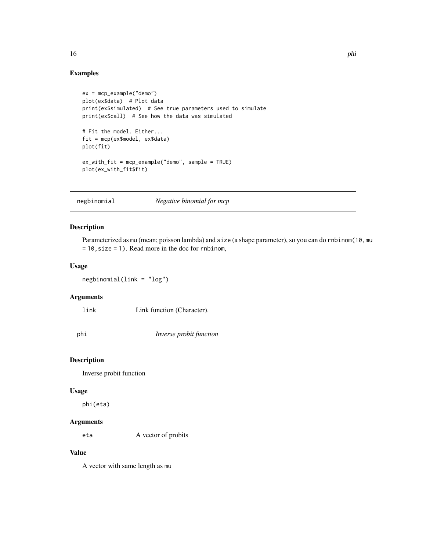# Examples

```
ex = mcp_example("demo")
plot(ex$data) # Plot data
print(ex$simulated) # See true parameters used to simulate
print(ex$call) # See how the data was simulated
# Fit the model. Either...
fit = mcp(ex$model, ex$data)
plot(fit)
ex_with_fit = mcp_example("demo", sample = TRUE)
plot(ex_with_fit$fit)
```
negbinomial *Negative binomial for mcp*

# Description

Parameterized as mu (mean; poisson lambda) and size (a shape parameter), so you can do rnbinom(10, mu = 10,size = 1). Read more in the doc for rnbinom,

#### Usage

negbinomial(link = "log")

#### Arguments

link Link function (Character).

phi *Inverse probit function*

#### Description

Inverse probit function

#### Usage

phi(eta)

#### Arguments

eta A vector of probits

# Value

A vector with same length as mu

<span id="page-15-0"></span>16 **philosophia** philosophia and the philosophia and the philosophia and the philosophia and the philosophia and the philosophia and the philosophia and the philosophia and the philosophia and the philosophia and the philo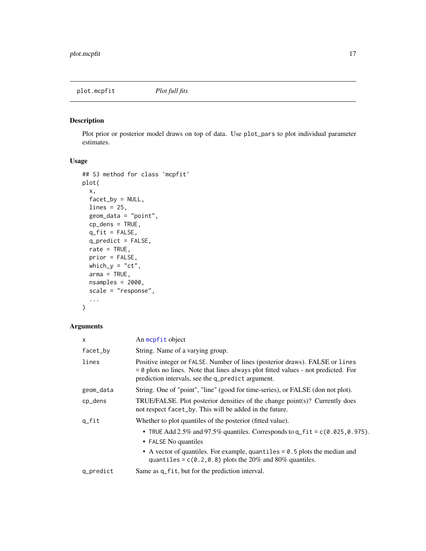<span id="page-16-1"></span><span id="page-16-0"></span>plot.mcpfit *Plot full fits*

# Description

Plot prior or posterior model draws on top of data. Use plot\_pars to plot individual parameter estimates.

# Usage

```
## S3 method for class 'mcpfit'
plot(
 x,
 factor_by = NULL,lines = 25,
  geom_data = "point",
  cp_dens = TRUE,
  q_fit = FALSE,
 q_predict = FALSE,
  rate = TRUE,
 prior = FALSE,
 which_y = "ct",arma = TRUE,nsamples = 2000,
  scale = "response",
  ...
)
```
# Arguments

| $\mathsf{x}$ | An mcpfit object                                                                                                                                                                                                          |
|--------------|---------------------------------------------------------------------------------------------------------------------------------------------------------------------------------------------------------------------------|
| facet_by     | String. Name of a varying group.                                                                                                                                                                                          |
| lines        | Positive integer or FALSE. Number of lines (posterior draws). FALSE or lines<br>$= 0$ plots no lines. Note that lines always plot fitted values - not predicted. For<br>prediction intervals, see the q_predict argument. |
| geom_data    | String. One of "point", "line" (good for time-series), or FALSE (don not plot).                                                                                                                                           |
| cp_dens      | TRUE/FALSE. Plot posterior densities of the change point(s)? Currently does<br>not respect facet_by. This will be added in the future.                                                                                    |
| $q_{fit}$    | Whether to plot quantiles of the posterior (fitted value).                                                                                                                                                                |
|              | • TRUE Add 2.5% and 97.5% quantiles. Corresponds to $q_f$ fit = $c(0.025, 0.975)$ .<br>• FALSE No quantiles                                                                                                               |
|              | • A vector of quantiles. For example, quantiles $= 0.5$ plots the median and<br>quantiles = $c(0.2, 0.8)$ plots the 20% and 80% quantiles.                                                                                |
| q_predict    | Same as q_fit, but for the prediction interval.                                                                                                                                                                           |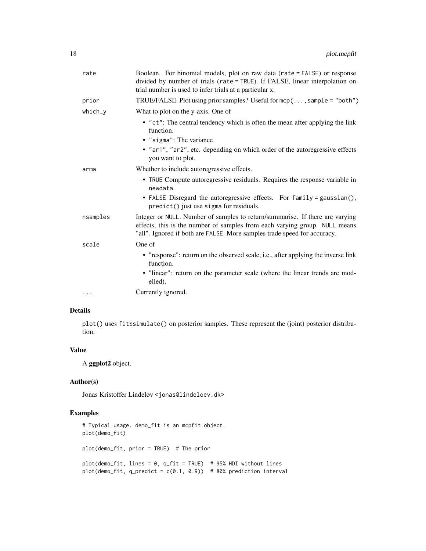| rate      | Boolean. For binomial models, plot on raw data (rate = FALSE) or response<br>divided by number of trials (rate = TRUE). If FALSE, linear interpolation on<br>trial number is used to infer trials at a particular x.                   |
|-----------|----------------------------------------------------------------------------------------------------------------------------------------------------------------------------------------------------------------------------------------|
| prior     | TRUE/FALSE. Plot using prior samples? Useful for $mcp$ (, sample = "both")                                                                                                                                                             |
| $which_y$ | What to plot on the y-axis. One of                                                                                                                                                                                                     |
|           | • "ct": The central tendency which is often the mean after applying the link<br>function.                                                                                                                                              |
|           | • "sigma": The variance                                                                                                                                                                                                                |
|           | • "ar1", "ar2", etc. depending on which order of the autoregressive effects<br>you want to plot.                                                                                                                                       |
| arma      | Whether to include autoregressive effects.                                                                                                                                                                                             |
|           | • TRUE Compute autoregressive residuals. Requires the response variable in<br>newdata.                                                                                                                                                 |
|           | • FALSE Disregard the autoregressive effects. For family = gaussian(),<br>predict() just use sigma for residuals.                                                                                                                      |
| nsamples  | Integer or NULL. Number of samples to return/summarise. If there are varying<br>effects, this is the number of samples from each varying group. NULL means<br>"all". Ignored if both are FALSE. More samples trade speed for accuracy. |
| scale     | One of                                                                                                                                                                                                                                 |
|           | • "response": return on the observed scale, i.e., after applying the inverse link<br>function.<br>• "linear": return on the parameter scale (where the linear trends are mod-<br>elled).                                               |
|           | Currently ignored.                                                                                                                                                                                                                     |
|           |                                                                                                                                                                                                                                        |

# Details

plot() uses fit\$simulate() on posterior samples. These represent the (joint) posterior distribution.

#### Value

A ggplot2 object.

# Author(s)

Jonas Kristoffer Lindeløv <jonas@lindeloev.dk>

# Examples

```
# Typical usage. demo_fit is an mcpfit object.
plot(demo_fit)
plot(demo_fit, prior = TRUE) # The prior
plot(demo_fit, lines = 0, q_fit = TRUE) # 95% HDI without lines
plot(demo_fit, q_predict = c(0.1, 0.9)) # 80% prediction interval
```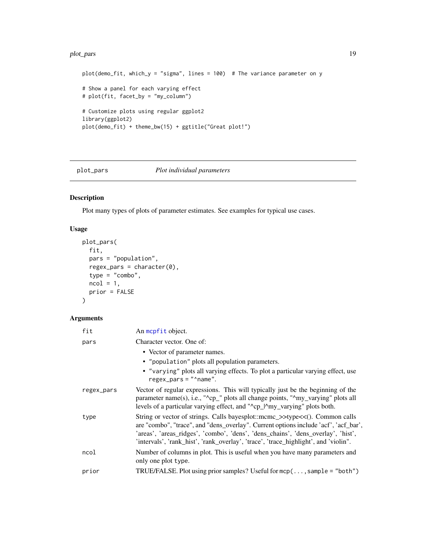#### <span id="page-18-0"></span>plot\_pars 19

```
plot(demo_fit, which_y = "sigma", lines = 100) # The variance parameter on y
# Show a panel for each varying effect
# plot(fit, facet_by = "my_column")
# Customize plots using regular ggplot2
library(ggplot2)
plot(demo_fit) + theme_bw(15) + ggtitle("Great plot!")
```
# plot\_pars *Plot individual parameters*

# Description

Plot many types of plots of parameter estimates. See examples for typical use cases.

# Usage

```
plot_pars(
  fit,
  pars = "population",
  regex_pars = character(0),
  type = "combo",
  ncol = 1,
  prior = FALSE
\mathcal{L}
```
# Arguments

| fit        | An mcpfit object.                                                                                                                                                                                                                                                                                                                             |
|------------|-----------------------------------------------------------------------------------------------------------------------------------------------------------------------------------------------------------------------------------------------------------------------------------------------------------------------------------------------|
| pars       | Character vector. One of:                                                                                                                                                                                                                                                                                                                     |
|            | • Vector of parameter names.<br>• "population" plots all population parameters.<br>• "varying" plots all varying effects. To plot a particular varying effect, use<br>$regex\_pars = "'name".$                                                                                                                                                |
| regex_pars | Vector of regular expressions. This will typically just be the beginning of the<br>parameter name(s), i.e., "^cp_" plots all change points, "^my_varying" plots all<br>levels of a particular varying effect, and "^cp_l^my_varying" plots both.                                                                                              |
| type       | String or vector of strings. Calls bayesplot::mcmc_>>type<<(). Common calls<br>are "combo", "trace", and "dens_overlay". Current options include 'acf', 'acf_bar',<br>'areas', 'areas_ridges', 'combo', 'dens', 'dens_chains', 'dens_overlay', 'hist',<br>'intervals', 'rank_hist', 'rank_overlay', 'trace', 'trace_highlight', and 'violin". |
| ncol       | Number of columns in plot. This is useful when you have many parameters and<br>only one plot type.                                                                                                                                                                                                                                            |
| prior      | TRUE/FALSE. Plot using prior samples? Useful for $mcp$ (, sample = "both")                                                                                                                                                                                                                                                                    |
|            |                                                                                                                                                                                                                                                                                                                                               |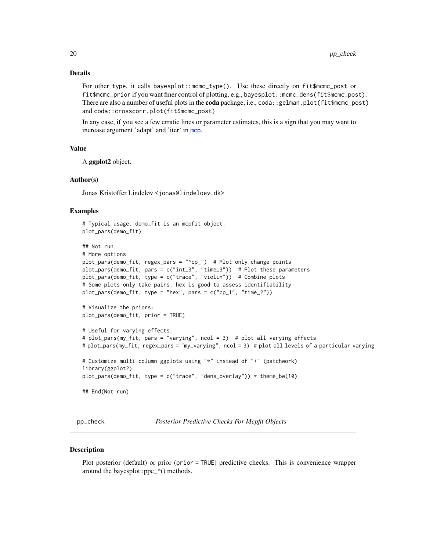#### <span id="page-19-0"></span>Details

For other type, it calls bayesplot::mcmc\_type(). Use these directly on fit\$mcmc\_post or fit\$mcmc\_prior if you want finer control of plotting, e.g., bayesplot::mcmc\_dens(fit\$mcmc\_post). There are also a number of useful plots in the coda package, i.e., coda:: gelman.plot(fit\$mcmc\_post) and coda::crosscorr.plot(fit\$mcmc\_post)

In any case, if you see a few erratic lines or parameter estimates, this is a sign that you may want to increase argument 'adapt' and 'iter' in [mcp](#page-9-1).

#### Value

A ggplot2 object.

#### Author(s)

Jonas Kristoffer Lindeløv <jonas@lindeloev.dk>

#### Examples

```
# Typical usage. demo_fit is an mcpfit object.
plot_pars(demo_fit)
## Not run:
# More options
plot_pars(demo_fit, regex_pars = "^cp_") # Plot only change points
plot_pars(demo_fit, pars = c("int_3", "time_3")) # Plot these parameters
plot_pars(demo_fit, type = c("trace", "violin")) # Combine plots
# Some plots only take pairs. hex is good to assess identifiability
plot_pars(demo_fit, type = "hex", pars = c("cp_1", "time_2"))
# Visualize the priors:
plot_pars(demo_fit, prior = TRUE)
# Useful for varying effects:
# plot_pars(my_fit, pars = "varying", ncol = 3) # plot all varying effects
# plot_pars(my_fit, regex_pars = "my_varying", ncol = 3) # plot all levels of a particular varying
# Customize multi-column ggplots using "*" instead of "+" (patchwork)
library(ggplot2)
plot_pars(demo_fit, type = c("trace", "dens_overlay")) \star theme_bw(10)
## End(Not run)
```
pp\_check *Posterior Predictive Checks For Mcpfit Objects*

#### Description

Plot posterior (default) or prior (prior = TRUE) predictive checks. This is convenience wrapper around the bayesplot::ppc\_\*() methods.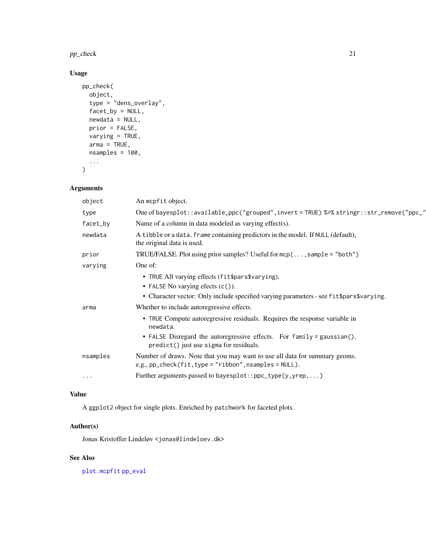<span id="page-20-0"></span> $pp\_check$  21

# Usage

```
pp_check(
 object,
 type = "dens_overlay",
 facet_by = NULL,
 newdata = NULL,prior = FALSE,
 varying = TRUE,
 arma = TRUE,nsamples = 100,
  ...
)
```
# Arguments

| object     | An mcpfit object.                                                                                                                               |
|------------|-------------------------------------------------------------------------------------------------------------------------------------------------|
| type       | One of bayesplot::available_ppc("grouped",invert=TRUE) %>% stringr::str_remove("ppc_"                                                           |
| facet_by   | Name of a column in data modeled as varying effect(s).                                                                                          |
| newdata    | A tibble or a data. frame containing predictors in the model. If NULL (default),<br>the original data is used.                                  |
| prior      | TRUE/FALSE. Plot using prior samples? Useful for $mcp(; sample = "both")$                                                                       |
| varying    | One of:                                                                                                                                         |
|            | • TRUE All varying effects (fit\$pars\$varying).                                                                                                |
|            | • FALSE No varying efects $(c()$ .                                                                                                              |
|            | • Character vector: Only include specified varying parameters - see fit \$pars \$varying.                                                       |
| arma       | Whether to include autoregressive effects.                                                                                                      |
|            | • TRUE Compute autoregressive residuals. Requires the response variable in<br>newdata.                                                          |
|            | • FALSE Disregard the autoregressive effects. For family = gaussian(),<br>predict() just use sigma for residuals.                               |
| nsamples   | Number of draws. Note that you may want to use all data for summary geoms.<br>e.g., $pp_{\text{check}}(fit, type = "ribbon", nsamples = NULL).$ |
| $\ddots$ . | Further arguments passed to bayesplot::ppc_type(y,yrep,)                                                                                        |

# Value

A ggplot2 object for single plots. Enriched by patchwork for faceted plots.

# Author(s)

Jonas Kristoffer Lindeløv <jonas@lindeloev.dk>

# See Also

[plot.mcpfit](#page-16-1) [pp\\_eval](#page-0-0)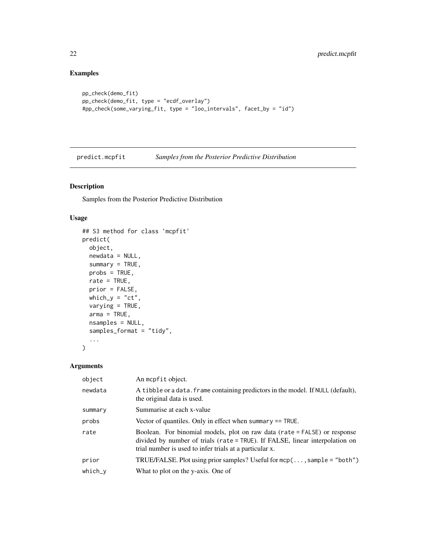# Examples

```
pp_check(demo_fit)
pp_check(demo_fit, type = "ecdf_overlay")
#pp_check(some_varying_fit, type = "loo_intervals", facet_by = "id")
```
<span id="page-21-1"></span>predict.mcpfit *Samples from the Posterior Predictive Distribution*

# Description

Samples from the Posterior Predictive Distribution

# Usage

```
## S3 method for class 'mcpfit'
predict(
 object,
 newdata = NULL,
  summary = TRUE,
 probs = TRUE,
 rate = TRUE,
 prior = FALSE,
 which_y = "ct",varying = TRUE,
 arma = TRUE,nsamples = NULL,
  samples_format = "tidy",
  ...
\mathcal{L}
```
# Arguments

| object    | An mcpfit object.                                                                                                                                                                                                    |
|-----------|----------------------------------------------------------------------------------------------------------------------------------------------------------------------------------------------------------------------|
| newdata   | A tibble or a data. frame containing predictors in the model. If NULL (default),<br>the original data is used.                                                                                                       |
| summary   | Summarise at each x-value                                                                                                                                                                                            |
| probs     | Vector of quantiles. Only in effect when summary $==$ TRUE.                                                                                                                                                          |
| rate      | Boolean. For binomial models, plot on raw data (rate = FALSE) or response<br>divided by number of trials (rate = TRUE). If FALSE, linear interpolation on<br>trial number is used to infer trials at a particular x. |
| prior     | TRUE/FALSE. Plot using prior samples? Useful for $mcp$ (, sample = "both")                                                                                                                                           |
| $which_y$ | What to plot on the y-axis. One of                                                                                                                                                                                   |

<span id="page-21-0"></span>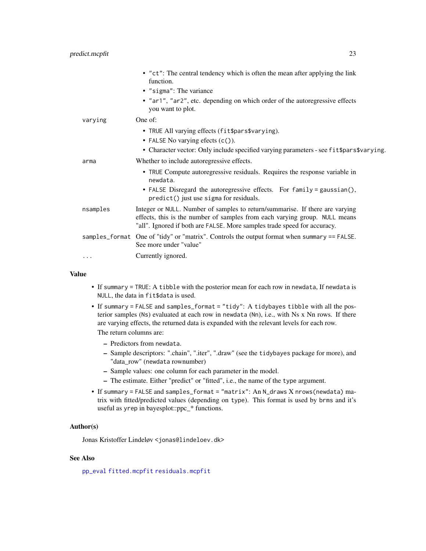<span id="page-22-0"></span>

|          | • "ct": The central tendency which is often the mean after applying the link<br>function.                                                                                                                                              |
|----------|----------------------------------------------------------------------------------------------------------------------------------------------------------------------------------------------------------------------------------------|
|          | • "sigma": The variance<br>• "ar1", "ar2", etc. depending on which order of the autoregressive effects<br>you want to plot.                                                                                                            |
| varying  | One of:                                                                                                                                                                                                                                |
|          | • TRUE All varying effects (fit\$pars\$varying).                                                                                                                                                                                       |
|          | • FALSE No varying efects $(c()$ .                                                                                                                                                                                                     |
|          | • Character vector: Only include specified varying parameters - see fit \$pars \$varying.                                                                                                                                              |
| arma     | Whether to include autoregressive effects.                                                                                                                                                                                             |
|          | • TRUE Compute autoregressive residuals. Requires the response variable in<br>newdata.                                                                                                                                                 |
|          | • FALSE Disregard the autoregressive effects. For family = gaussian(),<br>predict() just use sigma for residuals.                                                                                                                      |
| nsamples | Integer or NULL. Number of samples to return/summarise. If there are varying<br>effects, this is the number of samples from each varying group. NULL means<br>"all". Ignored if both are FALSE. More samples trade speed for accuracy. |
|          | samples_format One of "tidy" or "matrix". Controls the output format when summary == FALSE.<br>See more under "value"                                                                                                                  |
| .        | Currently ignored.                                                                                                                                                                                                                     |
|          |                                                                                                                                                                                                                                        |

#### Value

- If summary = TRUE: A tibble with the posterior mean for each row in newdata, If newdata is NULL, the data in fit\$data is used.
- If summary = FALSE and samples\_format = "tidy": A tidybayes tibble with all the posterior samples (Ns) evaluated at each row in newdata (Nn), i.e., with Ns x Nn rows. If there are varying effects, the returned data is expanded with the relevant levels for each row. The return columns are:

- Predictors from newdata.
- Sample descriptors: ".chain", ".iter", ".draw" (see the tidybayes package for more), and "data\_row" (newdata rownumber)
- Sample values: one column for each parameter in the model.
- The estimate. Either "predict" or "fitted", i.e., the name of the type argument.
- If summary = FALSE and samples\_format = "matrix": An N\_draws X nrows(newdata) matrix with fitted/predicted values (depending on type). This format is used by brms and it's useful as yrep in bayesplot::ppc\_\* functions.

# Author(s)

Jonas Kristoffer Lindeløv <jonas@lindeloev.dk>

# See Also

[pp\\_eval](#page-0-0) [fitted.mcpfit](#page-4-1) [residuals.mcpfit](#page-24-1)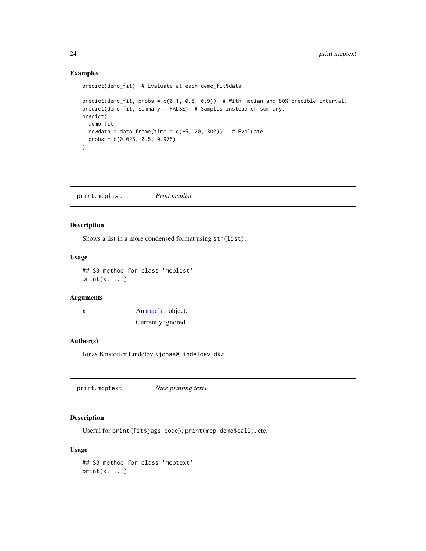#### Examples

```
predict(demo_fit) # Evaluate at each demo_fit$data
predict(demo_fit, probs = c(0.1, 0.5, 0.9)) # With median and 80% credible interval.
predict(demo_fit, summary = FALSE) # Samples instead of summary.
predict(
 demo_fit,
 newdata = data.frame(time = c(-5, 20, 300)), # Evaluate
  probs = c(0.025, 0.5, 0.975)
\mathcal{L}
```
print.mcplist *Print mcplist*

# **Description**

Shows a list in a more condensed format using str(list).

#### Usage

## S3 method for class 'mcplist'  $print(x, \ldots)$ 

# Arguments

| x        | An mcpfit object. |
|----------|-------------------|
| $\cdots$ | Currently ignored |

#### Author(s)

Jonas Kristoffer Lindeløv <jonas@lindeloev.dk>

|--|

# Description

Useful for print(fit\$jags\_code), print(mcp\_demo\$call), etc.

#### Usage

## S3 method for class 'mcptext'  $print(x, \ldots)$ 

<span id="page-23-0"></span>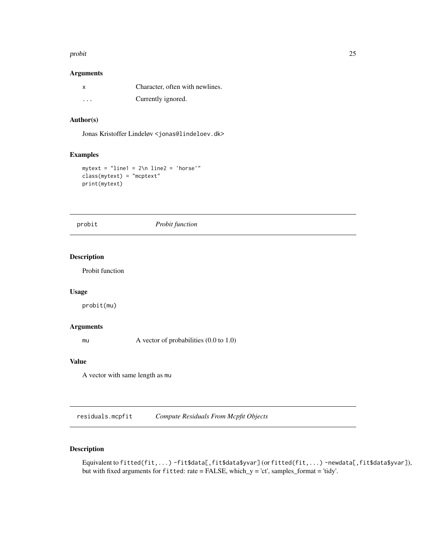#### <span id="page-24-0"></span>probit 25

# Arguments

|          | Character, often with newlines. |
|----------|---------------------------------|
| $\cdots$ | Currently ignored.              |

# Author(s)

Jonas Kristoffer Lindeløv <jonas@lindeloev.dk>

# Examples

```
mytext = "line1 = 2\nline 2 = 'horse'"class(mytext) = "mcptext"
print(mytext)
```
probit *Probit function*

# Description

Probit function

#### Usage

probit(mu)

#### Arguments

mu A vector of probabilities  $(0.0 \text{ to } 1.0)$ 

#### Value

A vector with same length as mu

<span id="page-24-1"></span>residuals.mcpfit *Compute Residuals From Mcpfit Objects*

# Description

Equivalent to fitted(fit,...) -fit\$data[,fit\$data\$yvar](orfitted(fit,...) -newdata[,fit\$data\$yvar]), but with fixed arguments for fitted: rate = FALSE, which\_y = 'ct', samples\_format = 'tidy'.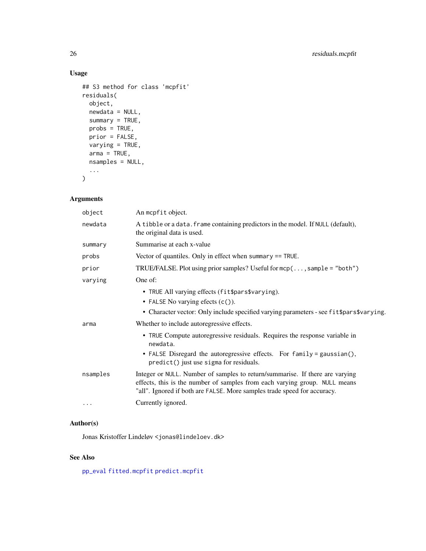# <span id="page-25-0"></span>Usage

```
## S3 method for class 'mcpfit'
residuals(
 object,
 newdata = NULL,
 summary = TRUE,
 probs = TRUE,
 prior = FALSE,
 varying = TRUE,
 arma = TRUE,nsamples = NULL,
  ...
\mathcal{L}
```
# Arguments

| object   | An mcpfit object.                                                                                                                                                                                                                      |
|----------|----------------------------------------------------------------------------------------------------------------------------------------------------------------------------------------------------------------------------------------|
| newdata  | A tibble or a data. frame containing predictors in the model. If NULL (default),<br>the original data is used.                                                                                                                         |
| summary  | Summarise at each x-value                                                                                                                                                                                                              |
| probs    | Vector of quantiles. Only in effect when summary $==$ TRUE.                                                                                                                                                                            |
| prior    | TRUE/FALSE. Plot using prior samples? Useful for $mcp$ (, sample = "both")                                                                                                                                                             |
| varying  | One of:                                                                                                                                                                                                                                |
|          | • TRUE All varying effects (fit\$pars\$varying).<br>• FALSE No varying efects $(c()$ .<br>• Character vector: Only include specified varying parameters - see fit \$pars \$varying.                                                    |
| arma     | Whether to include autoregressive effects.                                                                                                                                                                                             |
|          | • TRUE Compute autoregressive residuals. Requires the response variable in<br>newdata.<br>• FALSE Disregard the autoregressive effects. For family = gaussian(),<br>predict() just use sigma for residuals.                            |
| nsamples | Integer or NULL. Number of samples to return/summarise. If there are varying<br>effects, this is the number of samples from each varying group. NULL means<br>"all". Ignored if both are FALSE. More samples trade speed for accuracy. |
| $\cdots$ | Currently ignored.                                                                                                                                                                                                                     |
|          |                                                                                                                                                                                                                                        |

# Author(s)

Jonas Kristoffer Lindeløv <jonas@lindeloev.dk>

# See Also

[pp\\_eval](#page-0-0) [fitted.mcpfit](#page-4-1) [predict.mcpfit](#page-21-1)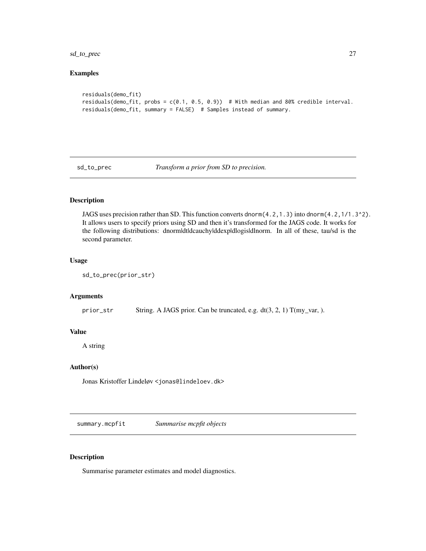<span id="page-26-0"></span>sd\_to\_prec 27

# Examples

```
residuals(demo_fit)
residuals(demo_fit, probs = c(0.1, 0.5, 0.9)) # With median and 80% credible interval.
residuals(demo_fit, summary = FALSE) # Samples instead of summary.
```
sd\_to\_prec *Transform a prior from SD to precision.*

# Description

JAGS uses precision rather than SD. This function converts dnorm(4.2,1.3) into dnorm(4.2,1/1.3^2). It allows users to specify priors using SD and then it's transformed for the JAGS code. It works for the following distributions: dnorm|dt|dcauchy|ddexp|dlogis|dlnorm. In all of these, tau/sd is the second parameter.

#### Usage

```
sd_to_prec(prior_str)
```
#### Arguments

prior\_str String. A JAGS prior. Can be truncated, e.g.  $dt(3, 2, 1) T(my\_var, )$ .

# Value

A string

# Author(s)

Jonas Kristoffer Lindeløv <jonas@lindeloev.dk>

summary.mcpfit *Summarise mcpfit objects*

#### Description

Summarise parameter estimates and model diagnostics.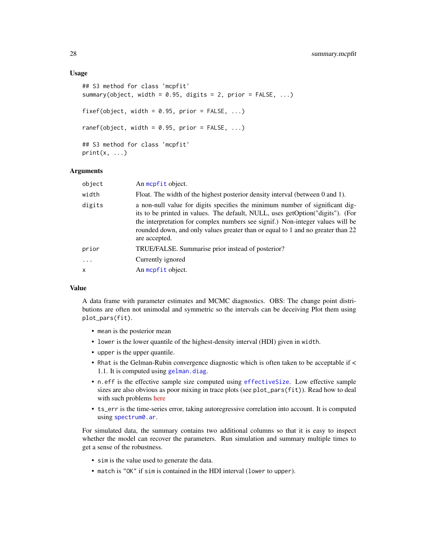#### <span id="page-27-0"></span>Usage

```
## S3 method for class 'mcpfit'
summary(object, width = 0.95, digits = 2, prior = FALSE, ...)
fixef(object, width = 0.95, prior = FALSE, ...)
ranef(object, width = 0.95, prior = FALSE, ...)
## S3 method for class 'mcpfit'
print(x, \ldots)
```
# Arguments

| object    | An mcpfit object.                                                                                                                                                                                                                                                                                                                                    |
|-----------|------------------------------------------------------------------------------------------------------------------------------------------------------------------------------------------------------------------------------------------------------------------------------------------------------------------------------------------------------|
| width     | Float. The width of the highest posterior density interval (between 0 and 1).                                                                                                                                                                                                                                                                        |
| digits    | a non-null value for digits specifies the minimum number of significant dig-<br>its to be printed in values. The default, NULL, uses getOption("digits"). (For<br>the interpretation for complex numbers see signif.) Non-integer values will be<br>rounded down, and only values greater than or equal to 1 and no greater than 22<br>are accepted. |
| prior     | TRUE/FALSE. Summarise prior instead of posterior?                                                                                                                                                                                                                                                                                                    |
| $\ddotsc$ | Currently ignored                                                                                                                                                                                                                                                                                                                                    |
| X         | An mcpfit object.                                                                                                                                                                                                                                                                                                                                    |
|           |                                                                                                                                                                                                                                                                                                                                                      |

#### Value

A data frame with parameter estimates and MCMC diagnostics. OBS: The change point distributions are often not unimodal and symmetric so the intervals can be deceiving Plot them using plot\_pars(fit).

- mean is the posterior mean
- lower is the lower quantile of the highest-density interval (HDI) given in width.
- upper is the upper quantile.
- Rhat is the Gelman-Rubin convergence diagnostic which is often taken to be acceptable if < 1.1. It is computed using [gelman.diag](#page-0-0).
- n.eff is the effective sample size computed using [effectiveSize](#page-0-0). Low effective sample sizes are also obvious as poor mixing in trace plots (see plot\_pars(fit)). Read how to deal with such problems [here](https://lindeloev.github.io/mcp/articles/tips.html)
- ts\_err is the time-series error, taking autoregressive correlation into account. It is computed using [spectrum0.ar](#page-0-0).

For simulated data, the summary contains two additional columns so that it is easy to inspect whether the model can recover the parameters. Run simulation and summary multiple times to get a sense of the robustness.

- sim is the value used to generate the data.
- match is "OK" if sim is contained in the HDI interval (lower to upper).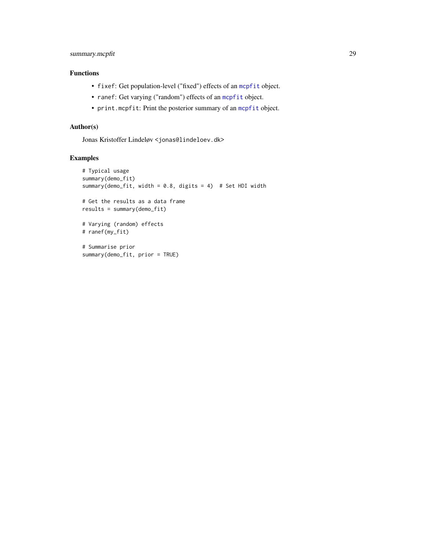# <span id="page-28-0"></span>summary.mcpfit 29

# Functions

- fixef: Get population-level ("fixed") effects of an [mcpfit](#page-13-1) object.
- ranef: Get varying ("random") effects of an [mcpfit](#page-13-1) object.
- print.mcpfit: Print the posterior summary of an [mcpfit](#page-13-1) object.

# Author(s)

Jonas Kristoffer Lindeløv <jonas@lindeloev.dk>

# Examples

```
# Typical usage
summary(demo_fit)
summary(demo_fit, width = 0.8, digits = 4) # Set HDI width
# Get the results as a data frame
results = summary(demo_fit)
# Varying (random) effects
# ranef(my_fit)
# Summarise prior
summary(demo_fit, prior = TRUE)
```